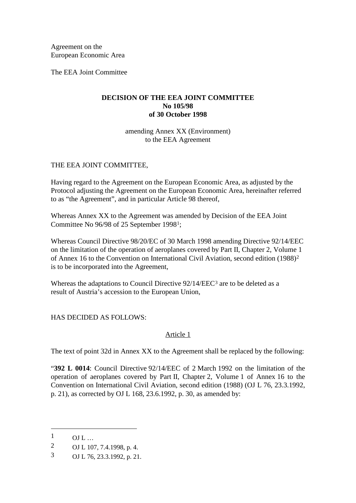Agreement on the European Economic Area

The EEA Joint Committee

## **DECISION OF THE EEA JOINT COMMITTEE No 105/98 of 30 October 1998**

amending Annex XX (Environment) to the EEA Agreement

# THE EEA JOINT COMMITTEE,

Having regard to the Agreement on the European Economic Area, as adjusted by the Protocol adjusting the Agreement on the European Economic Area, hereinafter referred to as "the Agreement", and in particular Article 98 thereof,

Whereas Annex XX to the Agreement was amended by Decision of the EEA Joint Committee No 96/98 of 25 September 1998[1](#page-0-0);

Whereas Council Directive 98/20/EC of 30 March 1998 amending Directive 92/14/EEC on the limitation of the operation of aeroplanes covered by Part II, Chapter 2, Volume 1 of Annex 16 to the Convention on International Civil Aviation, second edition (1988)[2](#page-0-1) is to be incorporated into the Agreement,

Whereas the adaptations to Council Directive 92/14/EEC<sup>[3](#page-0-2)</sup> are to be deleted as a result of Austria's accession to the European Union,

## HAS DECIDED AS FOLLOWS:

## Article 1

The text of point 32d in Annex XX to the Agreement shall be replaced by the following:

"**392 L 0014**: Council Directive 92/14/EEC of 2 March 1992 on the limitation of the operation of aeroplanes covered by Part II, Chapter 2, Volume 1 of Annex 16 to the Convention on International Civil Aviation, second edition (1988) (OJ L 76, 23.3.1992, p. 21), as corrected by OJ L 168, 23.6.1992, p. 30, as amended by:

-

<span id="page-0-0"></span> $1$  OJ L …

<span id="page-0-1"></span><sup>2</sup> OJ L 107, 7.4.1998, p. 4.

<span id="page-0-2"></span><sup>3</sup> OJ L 76, 23.3.1992, p. 21.